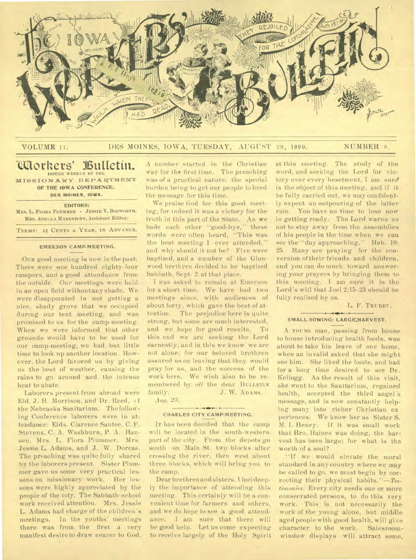

## VOLUME 11. DES MOINES, IOWA, TUESDAY, AUGUST 29, 1899. NUMBER 8.

## **`Olaothers' Vultetin• ISSUED WEEKLY BY THE**

**MISSIONARY DEPARTMENT OF THE IOWA CONFERENCE, DES MOINES, IOWA.** 

## **EDITORS:**

**MRS.** L. **FLORA PLUMMER - JESSIE V. BOSWORTH. MRS. ADELLA HABENICHT,** Assistant **Editor.** 

**TERMS: 25 CENTS A YEAR, IN ADVANCE,** 

## **EMERSON CAMP-MEETING.**

OUR good meeting is now in the past. There were one hundred eighty-four campers, and a good attendance from the outside. Our meetings were held in an open field withoutany shade. We were disappointed in not getting a nice, shady grove that we occupied during our tent meeting, and was promised to us for the camp-meeting. When we were informed that other grounds would have to be used for our camp-meeting, we had but little time to look up another location. However, the Lord favored us by giving us the best of weather, causing the rains to go around and the intense heat to abate.

Laborers present from abroad were Eld. J. H. Morrison. and Dr. Reed, ( f the Nebraska Sanitarium. The following Conference laborers were in attendance: Elds. Clarence Santee, C. F. Stevens, C. A. Washburn, P. A. Hansen. Mrs. L. Flora Plummer, Mrs. Jessie L. Adams, and J. W. Dorcas. The preaching was quite fully shared by the laborers present. Sister Plummer gave us some very practical lessons on missionary work. Her lessons were highly appreciated by the people of the city. The Sabbath-school work received attention. Mrs. Jessie L. Adams had charge of the children's meetings. In the youths' meetings there was from the first a very manifest desire to draw nearer to God.

A number started in the Christian way for the first time. The preaching was of a practical nature, the special burden being to get our people to heed the message for this time.

We praise God for this good meeting; for indeed it was a victory for the truth in this part of the State. As we bade each other "good-bye," these words were often heard, "This- was the best meeting I ever attended," and why should it not be? Five were baptized, and a number of the Glenwood brethren decided to be baptized Sabbath, Sept. 2, at that place.

I was asked to remain at Emerson for a short time. We have had two meetings since, with audiences of about forty, which gave the best of attention. The prejudice here is quite strong, hut some are much interested, and we hope for good results. To this end we are seeking the Lord earnestly, and in this we know we are not alone; for our beloved brethren assured us on leaving that they would pray for us, and the success of the work here. We wish also to be remembered by *all* the dear BULLETIN<br>family. J.W. ADAMS. J. W. ADAMS. *Aug.* 23.

#### **CHARLES CITY CAMP-MEETING.**

Jr has been decided that the camp. will be located in the south-western part of the city. From the depots go south on Main St. two blocks after crossing the river, then west about three blocks, which will bring you to the camp.

Dear brethren and sisters. I feel deeply the importance of attending this meeting. This certainly will be a convenient time for farmers and others, and we do hope to see a good attendance. I am sure that there will be good help. Let us come expecting to receive largely of the Holy Spirit at this meeting. The study of the word, and seeking the Lord for victory over every besetment, I am sure is the object of this meeting, and if it be fully carried out, we may confidently expect an outpouring of the latter rain. You have no time to lose now in getting ready. The Lord warns us not to stay away from the assemblies of his people in the time when we can see the "day approaching," Heb. 10: 25. Many are praying for the conversion of their friends and children, and you can do much toward answering your prayers by bringing them to this meeting. I am sure it is the Lord's will that Joel 2:15-23 should be fully realized by us.

L. F. TRUBEY.

#### **SMALL SOWING; LARGE:HARVEST.**

A YOUNG man, passing from house to house introducing health foods, was about to take his leave of one home, when an invalid asked that she might see him. She liked the foods, and had for a long time desired to see Dr. Kellogg. As the result of this visit, she went to the Sanitarium, regained health, accepted the third angel's message, and is now constantly helping many into richer Christian ex periences. We know her as Sister S. M. I. Henry. if it was small work that Bro. Haines was doing, the harvest has been large; for what is the worth of a soul?

"If we would elevate the moral standard in any country where we may be called to go, we must begin by correcting their physical *habits."—Testimonies.* Every city needs one or more consecrated persons, to do this very work. This is not necessarily the work of the young alone, but middle aged people with good health, will give character to the work. Salesroomwindow displays will attract some,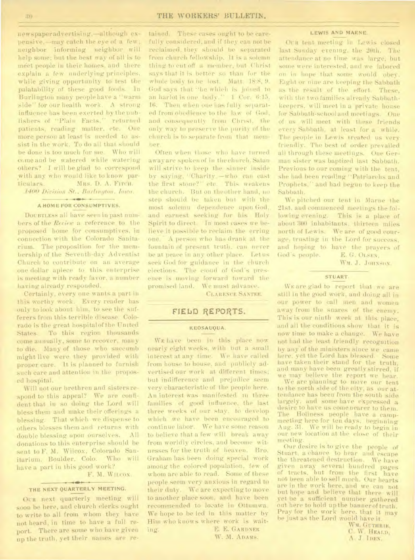newspaper advertising, -although expensive, —may catch the eye of a few; neighbor informing neighbor will help some; but the best way of all is to meet people in their homes;and there explain a few underlying principles. while giving opportunity to test the palatability of these good foods. In Burlington many people have a `'warm side" for our health work. A strong influence has been exerted by the publishers of "Plain Facts," returned patients, reading matter. etc. One more person at least is needed to assist in the work. To do all that should be done is too much for me. Who will come and be watered while watering others? I will be glad to correspond with any who would like to know particulars. MRS. D. A. Firch.

**1400 Division St., Burlington, Iowa.**  $+ - i \otimes \cdots +$ 

## **A HOME FOR CONSUMPTIVES.**

DOUBTLESS all have seen in past numbers of the *Review* a reference to the proposed home for consumptives, in connection with the Colorado Sanitarium. The proposition for the membership of the Seventh-day Adventist Church to contribute on an average one dollar apiece to this enterprise is meeting with ready favor, a number having already responded.

Certainly, every one wants a part in this worthy work. Every reader has only to look about him, to see the sufferers from this terrible disease. Colorado is the great hospital of the United States. To this region thousands come annually, some to recover, many to die. Many of those who succumb might live were they provided with proper care. It is planned to furnish such care and attention in the proposed hospital.

Will not our brethren and sisters respond to this appeal? We are confident that in so doing the Lord will bless them and make their offerings a blessing. That which we dispense to others blesses them and returns with double blessing upon ourselves. All donations to this enterprise should be sent to F. M. Wilcox, Colorado Sanitarium, Boulder, Colo. Who will have a part in this good work?

F. M. Wilcox.

#### **STATISTICS THE NEXT QUARTERLY MEETING.**

OUR next quarterly meeting will soon be here, and church clerks ought to write to all from whom they have not heard, in time to have a full report. There are some who have given up the truth, yet their names are retained. These cases ought to be carefully considered, and if they can not be reclaimed, they should be separated from church fellowship. It is a solemn thing to cut off a member, but Christ says that it is better so than fur the whole body to be lost. Alatt. 18:8, 9. God says that "he which is joined to an harlot is one body." 1 Con 6:15, 16. Then when one has fully separated from obedience to the law of God, and consequently from Christ. the only way to preserve the purity of the church is to separate from that member.

Often when those who have turned away are spoken of in the church. Satan will strive to keep the sinner inside. by saying, ''Charity.—who can cast the first stone?" etc. This weakens the church. But on theother hand, no step should be taken but with the most solemn dependence upon God, and earnest seeking for his Holy Spirit to direct. In most cases we believe it possible to reclaim the erring one. A person who has drank at the fountain of present truth. can never be at peace in any other place. Let us seek God for guidance in the church elections. The cloud of God's presence is moving forward toward the promised land. We must advance.

CLARENCE SANTEE.

# **FIELAD REPORTS.**

#### **KEOSAUQUA.**

WE have been in this place now nearly eight weeks, with but a small interest at any time. We have called from house to house, and publicly advertised our work at different times; but indifference and prejudice seem very characteristic of the people here. An interest was manifested in three families of good influence, the last three weeks of our stay, to develop which we have been encouraged to continue labor. We have some reason to believe that a few will break away from worldly circles, and become witnesses for the truth of heaven. Bro. Graham has been doing special work among the colored population, few of whom are able to read. Some of these people seem very anxious in regard to their duty. We are expecting to move to another place soon, and have been recommended to locate in Ottumwa. We hope to be led in this matter by Him who knows where work is waiting. E. E. GARDNER

W. M. ADAMS.

#### **LEWIS AND MARNE.**

Our tent meeting in Lewis closed last Sunday evening, the 20th. The attendance at no time was large, but some were interested, and we labored on in hope that some would obey. Eight or nine are keeping the Sabbath as the result of the effort. These, with the two families already Sabbathkeepers, will meet in a private house for Sabbath-school and meetings. One of us will meet with these friends every Sabbath, at least for a while. The people in Lewis treated us very friendly. The best of order prevailed all through these meetings. One German sister was baptized last Sabbath. Previous to our coming with the tent, she had been reading "Patriarchs and Prophets," and had begun to keep the Sabbath.

We pitched our tent in Marne the 21st, and commenced meetings the following evening. This is a place of about 300 inhabitants, thirteen miles north of Lewis. We are of good courage, trusting in the Lord for success, and hoping to have the prayers of God's people. E. G. OLSEN.

WM. J. JOHNSON.

## STUART.

by any of the ministers since we came here, yet the Lord has blessed. Some have taken their stand for the truth. and many have been greatly stirred, if we may believe the report we hear. WE are glad to report that we are still in the good work, and doing all in our power to call men and women away from the snares of the enemy. This is our ninth week at this place, and all the conditions show that it is now time to make a change. We have not had the least friendly recognition

We are planning to move our tent to the north side of the city, as our attendance has been from the south side largely, and some have expressed a desire to have us come nearer to them. The Holiness people have a campmeeting here for ten days, beginning Aug. 31. We will be ready to begin in our new location at the close of their meeting.

Our desire is to give the people of Stuart. a chance to hear and escape the threatened destruction. We have given away several hundred pages of tracts. hut from the first have not been able to sell much. Our hearts are in the work here, and we can not but hope and believe that there will yet be a sufficient number gathered out here to hold up the bannerof truth. Pray for the work here, that it may be just as the Lord would have it.

> WM. GUTHRIE, C. W. HEALD, A. J. IDEN.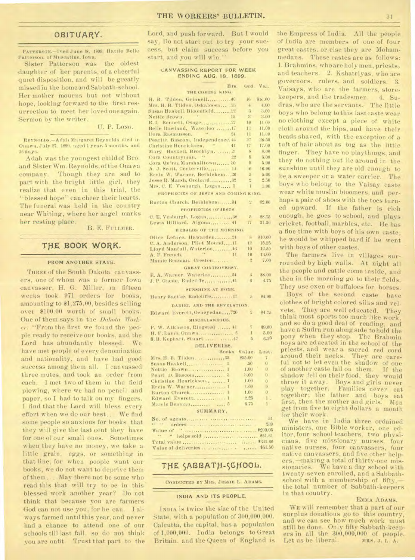# OBITUARY.

**PATTERSON.-Died** June 18. 1899, Hattie Belle Patterson, of Muscatine, Iowa.

Sister Patterson was the oldest -daughter of her parents, of a cheerful quiet disposition, and will be greatly missed in the home and Sabbath-school. Her mother mourns but not without hope, looking forward to the first resurrection to meet her loved oneagain. Sermon by the writer.

#### U. P. Loxe.

REYNOLDS.-Adah Margaret. Reynolds died in Onawa, July 27. 1899. aged 1 year. 5 months, and 16 days.

A dah was the youngest child of Bro. and Sister Wm. Reynolds, of the Onawa -company. Though they are sad to part with the bright little girl, they realize that even in this trial, the "blessed hope" can cheer their hearts. The funeral was held in the country near Whiting, where her angel marks her resting place.

#### B. E. FULLMER.

# **TfiE 800K WORK.**

## **FROM ANOTHER STATE.**

THREE of the South Dakota canvassers, one of whom was a former Iowa canvasser, H. G. Miller, in fifteen weeks took 971 orders for books, amounting to \$1,275.00, besides selling over \$100.00 worth of small books. One of them says in the Dakota Worker: "From the first we found the people ready to receive our books, and the Lord has abundantly blessed. We have met people of every denomination and nationality, and have had good success among them all. I canvassed three mutes, and took an order from each. I met two of them in the field plowing, where we had no pencil and paper, so I had to talk on my fingers. I find that the Lord will bless every effort when we do our best.... We find some people so anxious for books that they will give the last cent they have for one of our small ones. Sometimes when they have no money, we take a little grain, eggs, or something in that line; for when people want our books, we do not want to deprive them of them.... May there not be some who read this that will try to be in this blessed work another year? Do not think that because you are farmers God can not use you, for he can. I always farmed until this year, and never had a chance to attend one of our schools till last fall, so do not think you are unfit. Trust that part to the

Lord, and push forward. But I would say, Do not start out to try. your success, but claim success before you start, and you will win."

### **CANVASSING REPORT FOR WEEK ENDING AUG. 18. 1899.**

| Hrs. Ord. Val. |  |
|----------------|--|
|                |  |

| THE COMING KING.                     |       |                |         |
|--------------------------------------|-------|----------------|---------|
| H. B. Tilden, Grinnell40             |       | 16             | \$16.00 |
| Mrs. H. B. Tilden, Oskaloosa 23      |       | $\frac{1}{2}$  | 4.00    |
| Susan Haskell, Bloomfield22          |       | $\sqrt{3}$     | 3.00    |
| Nettie Brown,                        | 15    | 3.             | 3.00    |
| R. L Bennett, Osage27                |       | 10             | 11.00   |
| Belle Rowland, Waterloo  IT          |       | 11             | 11.00   |
| Dora Rasmussen.                      | 24    | 11             | 11.00   |
| Pearl1). Bascom, Independence. 44    |       | 27             | 26.50   |
| Christine Henricksen, "41            |       | $17^{\circ}$   | 17.00   |
| Mary Haskell, Brooklyn.  21          |       | 8              | 8.00    |
| Cora Countryman, "                   | $-22$ | $\overline{5}$ | 5.00    |
| Cora Quinn, Marshalltown 30          |       | 5.             | 5.00    |
| A. J. Scott, Centerville 14          |       | 16             | 16.00   |
| Ervin W. Warner, Bethlehem26         |       | $5 -$          | 5.00    |
| Jesse R. Marsh, Orchard32            |       | υ              | 2.50    |
| Mrs. C. E. Vosburgh, Logan 5         |       | 1              | 1.00    |
| PROPHECIES OF JESUS AND COMING KING. |       |                |         |

| Burton Church, Bethlehem31       | ク                   | \$2.00         |  |  |
|----------------------------------|---------------------|----------------|--|--|
| PROPRECIES OF JESUS.             |                     |                |  |  |
| C. E. Vosburgh. Logan38          | 5                   | \$8.75         |  |  |
| Lewis Hilliard, Algona 41        | 17                  | 31.30          |  |  |
| <b>RERALDS OF THE MORNING.</b>   |                     |                |  |  |
| Olive Lefaye, Hawarden24         | $\mathbf{g}$        | 310.00         |  |  |
| C. A. Anderson, Pilot Mound,  11 | 12                  | 15.25          |  |  |
| Lloyd Manfull, Waterloo,  46     | 10                  | 12.50          |  |  |
| A. F. French.<br>11              | 10                  | 13.00          |  |  |
| Mamie Beaman, Creston            | $\mathbf{r}$        | 7.00           |  |  |
| GREAT CONTROVERSY.               |                     |                |  |  |
| E. A. Warner, Waterloo,  54      | R                   | \$8.00         |  |  |
|                                  | 6                   | 6.75           |  |  |
| SUNSHINE AT HOME.                |                     |                |  |  |
|                                  |                     |                |  |  |
|                                  | $\ddot{\mathrm{o}}$ | \$4.90         |  |  |
| DANIEL AND THE REVELATION.       |                     |                |  |  |
| Edward Everett, Ocheyedan20      | $\mathfrak{D}$      | \$4.75         |  |  |
| MISCELLANEOUS.                   |                     |                |  |  |
| P. W. Atkinson, Ringsted  41     | $\tau$              | \$9.60         |  |  |
|                                  | $\mathbf{I}$        | 5.00           |  |  |
| 8. B. Kephart, Stuart            | $\overline{5}$      | 6.25           |  |  |
| DELIVERIES.                      |                     |                |  |  |
| Books.                           | Value.              | Lost.          |  |  |
| Mrs. H. B. Tilden. 35            | 彩5.00               | $\tau$         |  |  |
|                                  | .50 <sub>0</sub>    | 0              |  |  |
|                                  | 1.00                | Ü              |  |  |
| Pearl D. Bascom 3                | 3.00                | Ü              |  |  |
| Christine Henricksen.,  1<br>l,  | 1.00                | ō              |  |  |
| Ervin W. Warner 1                | 1.00                | ь              |  |  |
|                                  | 1.00                | $\overline{0}$ |  |  |
| Edward Everett.  1               | 2.25                | 1              |  |  |
|                                  | 0.75                | $\mathbf{1}$   |  |  |
| SUMMARY.                         |                     |                |  |  |

No. of agents 31 " " orders ... ................ . 239 Value of " 8290.05 " helps sold \$51.61 Total value 8341.66 Value of deliveries .. .............

# THE SABBATH-SCHOOL.

#### **CONDUCTED BY MRS. JESSIE** L. **ADAMS.**

#### **INDIA AND ITS PEOPLE.**

INDIA is twice the size of the United State, with a population of 300,000,000. Calcutta, the capital, has a population of 1,000,000. India belongs to Great Britain, and the Queen of England is

the Empress of India. All the people of India are members of one of four great castes, or else they are Mohammedans. These castes are as follows: 1. Brahmins, who are holy men, priests, and teachers. 2. Kshatriyas, who are governors, rulers, and soldiers. 3. Vaisays, who are the farmers, storekeepers, and the tradesmen. 4. Sudras, who are the servants. The little boys who belong to this last caste wear no clothing except a piece of white cloth around the hips, and have their heads shaved, with the exception of a tuft of hair about as big as the little finger. They have no playthings, and they do nothing but lie around in the sunshine until they are old enough to be, a sweeper or a water carrier. The boys who belong to the Vaisay caste wear white muslin bloomers, and perhaps a pair of shoes with the toes turned upward. If the father is rich enough, he goes to school, and plays cricket, football, marbles, etc. He has a fine time with boys of his own caste; he would be whipped hard if he went with boys of other castes.

The farmers live in villages surrounded by high walls. At night all the people and cattle come inside, and then in the morning go to their fields. They use oxen or buffaloes for horses.

Boys of the second caste have clothes of bright colored silks and velvets. They are well educated. They think most sports too much like work, and so do a good deal of reading, and have a Sudra run alongside to hold the pony when they stop. The Brahmin boys are educated in the school of the priests, and wear a sacred red cord around their necks. They are careful not to let even the shadow of one of another caste fall on them. If the shadow fell on their food, they would throw it away. Boys and girls never play together. Families never eat together; the father and boys eat first, then the mother and girls. Men get from five to eight dollars a month for their work.

We have in India three ordained ministers, one Bible worker, one editor, four school teachers, two physicians, five missionary nurses, four native nurses, four canvassers, four native canvassers, and five other helpers, -making a total of thirty-one missionaries. We have a day school with twenty-seven enrolled, and a Sabbathschool with a membership of fifty.the total number of Sabbath-keepers in that country.

## EMMA ADAMS.

WE will remember that a part of our surplus donations go to this country, and we can see how much work must still be done. Only fifty Sabbath-keepers in all the 300,000,000 of people.<br>Let us be liberal. MRS. J. L. A. Let us be liberal.